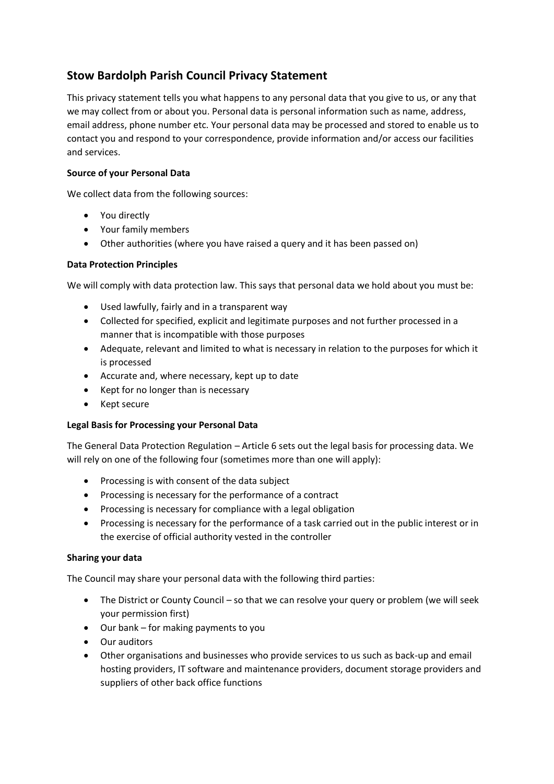# **Stow Bardolph Parish Council Privacy Statement**

This privacy statement tells you what happens to any personal data that you give to us, or any that we may collect from or about you. Personal data is personal information such as name, address, email address, phone number etc. Your personal data may be processed and stored to enable us to contact you and respond to your correspondence, provide information and/or access our facilities and services.

# **Source of your Personal Data**

We collect data from the following sources:

- You directly
- Your family members
- Other authorities (where you have raised a query and it has been passed on)

## **Data Protection Principles**

We will comply with data protection law. This says that personal data we hold about you must be:

- Used lawfully, fairly and in a transparent way
- Collected for specified, explicit and legitimate purposes and not further processed in a manner that is incompatible with those purposes
- Adequate, relevant and limited to what is necessary in relation to the purposes for which it is processed
- Accurate and, where necessary, kept up to date
- Kept for no longer than is necessary
- Kept secure

## **Legal Basis for Processing your Personal Data**

The General Data Protection Regulation – Article 6 sets out the legal basis for processing data. We will rely on one of the following four (sometimes more than one will apply):

- Processing is with consent of the data subject
- Processing is necessary for the performance of a contract
- Processing is necessary for compliance with a legal obligation
- Processing is necessary for the performance of a task carried out in the public interest or in the exercise of official authority vested in the controller

## **Sharing your data**

The Council may share your personal data with the following third parties:

- The District or County Council so that we can resolve your query or problem (we will seek your permission first)
- Our bank for making payments to you
- Our auditors
- Other organisations and businesses who provide services to us such as back-up and email hosting providers, IT software and maintenance providers, document storage providers and suppliers of other back office functions